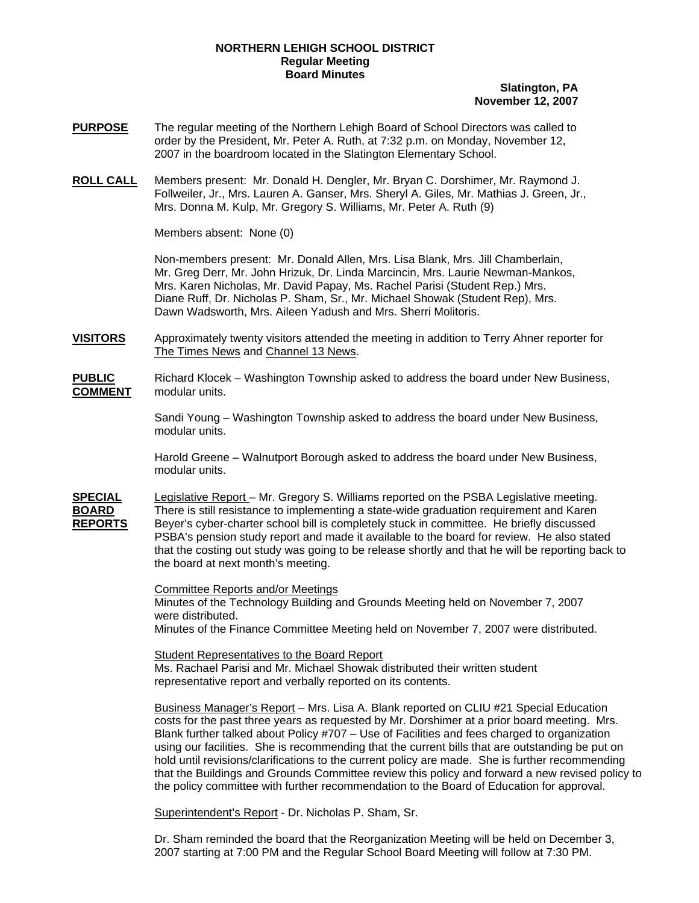## **NORTHERN LEHIGH SCHOOL DISTRICT Regular Meeting Board Minutes**

## **Slatington, PA November 12, 2007**

- **PURPOSE** The regular meeting of the Northern Lehigh Board of School Directors was called to order by the President, Mr. Peter A. Ruth, at 7:32 p.m. on Monday, November 12, 2007 in the boardroom located in the Slatington Elementary School.
- **ROLL CALL** Members present: Mr. Donald H. Dengler, Mr. Bryan C. Dorshimer, Mr. Raymond J. Follweiler, Jr., Mrs. Lauren A. Ganser, Mrs. Sheryl A. Giles, Mr. Mathias J. Green, Jr., Mrs. Donna M. Kulp, Mr. Gregory S. Williams, Mr. Peter A. Ruth (9)

Members absent: None (0)

Non-members present: Mr. Donald Allen, Mrs. Lisa Blank, Mrs. Jill Chamberlain, Mr. Greg Derr, Mr. John Hrizuk, Dr. Linda Marcincin, Mrs. Laurie Newman-Mankos, Mrs. Karen Nicholas, Mr. David Papay, Ms. Rachel Parisi (Student Rep.) Mrs. Diane Ruff, Dr. Nicholas P. Sham, Sr., Mr. Michael Showak (Student Rep), Mrs. Dawn Wadsworth, Mrs. Aileen Yadush and Mrs. Sherri Molitoris.

**VISITORS** Approximately twenty visitors attended the meeting in addition to Terry Ahner reporter for The Times News and Channel 13 News.

**PUBLIC** Richard Klocek – Washington Township asked to address the board under New Business, **COMMENT** modular units.

> Sandi Young – Washington Township asked to address the board under New Business, modular units.

> Harold Greene – Walnutport Borough asked to address the board under New Business, modular units.

**SPECIAL** Legislative Report – Mr. Gregory S. Williams reported on the PSBA Legislative meeting. **BOARD** There is still resistance to implementing a state-wide graduation requirement and Karen **REPORTS** Beyer's cyber-charter school bill is completely stuck in committee. He briefly discussed PSBA's pension study report and made it available to the board for review. He also stated that the costing out study was going to be release shortly and that he will be reporting back to the board at next month's meeting.

> Committee Reports and/or Meetings Minutes of the Technology Building and Grounds Meeting held on November 7, 2007 were distributed. Minutes of the Finance Committee Meeting held on November 7, 2007 were distributed.

Student Representatives to the Board Report Ms. Rachael Parisi and Mr. Michael Showak distributed their written student representative report and verbally reported on its contents.

 Business Manager's Report – Mrs. Lisa A. Blank reported on CLIU #21 Special Education costs for the past three years as requested by Mr. Dorshimer at a prior board meeting. Mrs. Blank further talked about Policy #707 – Use of Facilities and fees charged to organization using our facilities. She is recommending that the current bills that are outstanding be put on hold until revisions/clarifications to the current policy are made. She is further recommending that the Buildings and Grounds Committee review this policy and forward a new revised policy to the policy committee with further recommendation to the Board of Education for approval.

Superintendent's Report - Dr. Nicholas P. Sham, Sr.

 Dr. Sham reminded the board that the Reorganization Meeting will be held on December 3, 2007 starting at 7:00 PM and the Regular School Board Meeting will follow at 7:30 PM.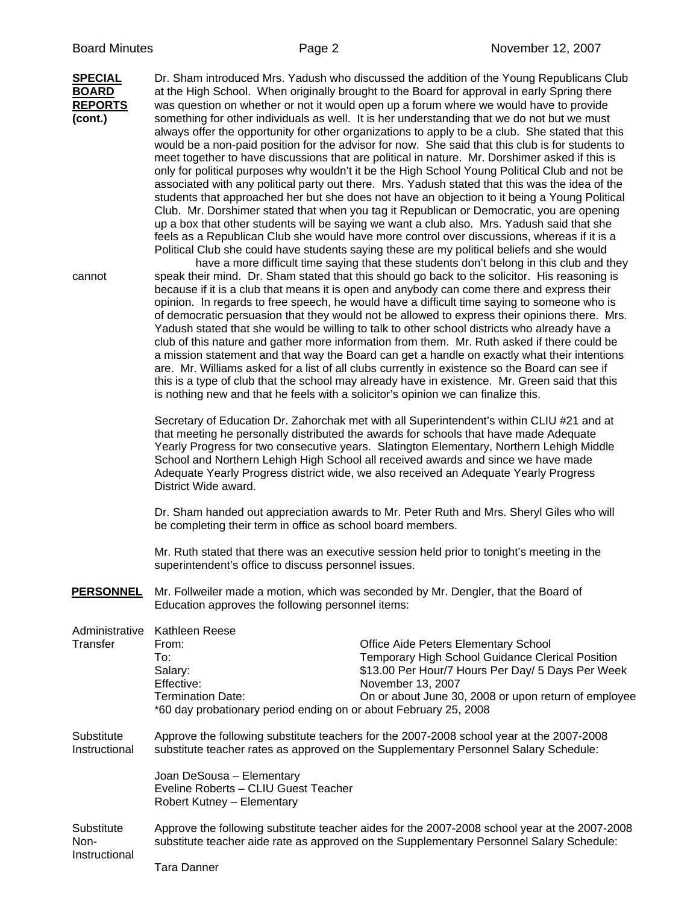| <b>SPECIAL</b><br>BOARD<br><b>REPORTS</b><br>(cont.) |                                                                                                                                                                                           | Dr. Sham introduced Mrs. Yadush who discussed the addition of the Young Republicans Club<br>at the High School. When originally brought to the Board for approval in early Spring there<br>was question on whether or not it would open up a forum where we would have to provide<br>something for other individuals as well. It is her understanding that we do not but we must<br>always offer the opportunity for other organizations to apply to be a club. She stated that this<br>would be a non-paid position for the advisor for now. She said that this club is for students to<br>meet together to have discussions that are political in nature. Mr. Dorshimer asked if this is<br>only for political purposes why wouldn't it be the High School Young Political Club and not be<br>associated with any political party out there. Mrs. Yadush stated that this was the idea of the<br>students that approached her but she does not have an objection to it being a Young Political<br>Club. Mr. Dorshimer stated that when you tag it Republican or Democratic, you are opening<br>up a box that other students will be saying we want a club also. Mrs. Yadush said that she<br>feels as a Republican Club she would have more control over discussions, whereas if it is a<br>Political Club she could have students saying these are my political beliefs and she would<br>have a more difficult time saying that these students don't belong in this club and they |
|------------------------------------------------------|-------------------------------------------------------------------------------------------------------------------------------------------------------------------------------------------|--------------------------------------------------------------------------------------------------------------------------------------------------------------------------------------------------------------------------------------------------------------------------------------------------------------------------------------------------------------------------------------------------------------------------------------------------------------------------------------------------------------------------------------------------------------------------------------------------------------------------------------------------------------------------------------------------------------------------------------------------------------------------------------------------------------------------------------------------------------------------------------------------------------------------------------------------------------------------------------------------------------------------------------------------------------------------------------------------------------------------------------------------------------------------------------------------------------------------------------------------------------------------------------------------------------------------------------------------------------------------------------------------------------------------------------------------------------------------------------|
| cannot                                               | is nothing new and that he feels with a solicitor's opinion we can finalize this.                                                                                                         | speak their mind. Dr. Sham stated that this should go back to the solicitor. His reasoning is<br>because if it is a club that means it is open and anybody can come there and express their<br>opinion. In regards to free speech, he would have a difficult time saying to someone who is<br>of democratic persuasion that they would not be allowed to express their opinions there. Mrs.<br>Yadush stated that she would be willing to talk to other school districts who already have a<br>club of this nature and gather more information from them. Mr. Ruth asked if there could be<br>a mission statement and that way the Board can get a handle on exactly what their intentions<br>are. Mr. Williams asked for a list of all clubs currently in existence so the Board can see if<br>this is a type of club that the school may already have in existence. Mr. Green said that this                                                                                                                                                                                                                                                                                                                                                                                                                                                                                                                                                                                       |
|                                                      | District Wide award.                                                                                                                                                                      | Secretary of Education Dr. Zahorchak met with all Superintendent's within CLIU #21 and at<br>that meeting he personally distributed the awards for schools that have made Adequate<br>Yearly Progress for two consecutive years. Slatington Elementary, Northern Lehigh Middle<br>School and Northern Lehigh High School all received awards and since we have made<br>Adequate Yearly Progress district wide, we also received an Adequate Yearly Progress                                                                                                                                                                                                                                                                                                                                                                                                                                                                                                                                                                                                                                                                                                                                                                                                                                                                                                                                                                                                                          |
|                                                      | be completing their term in office as school board members.                                                                                                                               | Dr. Sham handed out appreciation awards to Mr. Peter Ruth and Mrs. Sheryl Giles who will                                                                                                                                                                                                                                                                                                                                                                                                                                                                                                                                                                                                                                                                                                                                                                                                                                                                                                                                                                                                                                                                                                                                                                                                                                                                                                                                                                                             |
|                                                      | superintendent's office to discuss personnel issues.                                                                                                                                      | Mr. Ruth stated that there was an executive session held prior to tonight's meeting in the                                                                                                                                                                                                                                                                                                                                                                                                                                                                                                                                                                                                                                                                                                                                                                                                                                                                                                                                                                                                                                                                                                                                                                                                                                                                                                                                                                                           |
| <b>PERSONNEL</b>                                     | Education approves the following personnel items:                                                                                                                                         | Mr. Follweiler made a motion, which was seconded by Mr. Dengler, that the Board of                                                                                                                                                                                                                                                                                                                                                                                                                                                                                                                                                                                                                                                                                                                                                                                                                                                                                                                                                                                                                                                                                                                                                                                                                                                                                                                                                                                                   |
| Administrative<br>Transfer                           | Kathleen Reese<br>From:<br>To:<br>Salary:<br>Effective:<br><b>Termination Date:</b><br>*60 day probationary period ending on or about February 25, 2008                                   | <b>Office Aide Peters Elementary School</b><br>Temporary High School Guidance Clerical Position<br>\$13.00 Per Hour/7 Hours Per Day/ 5 Days Per Week<br>November 13, 2007<br>On or about June 30, 2008 or upon return of employee                                                                                                                                                                                                                                                                                                                                                                                                                                                                                                                                                                                                                                                                                                                                                                                                                                                                                                                                                                                                                                                                                                                                                                                                                                                    |
| Substitute<br>Instructional                          |                                                                                                                                                                                           | Approve the following substitute teachers for the 2007-2008 school year at the 2007-2008<br>substitute teacher rates as approved on the Supplementary Personnel Salary Schedule:                                                                                                                                                                                                                                                                                                                                                                                                                                                                                                                                                                                                                                                                                                                                                                                                                                                                                                                                                                                                                                                                                                                                                                                                                                                                                                     |
|                                                      | Joan DeSousa - Elementary<br>Eveline Roberts - CLIU Guest Teacher<br>Robert Kutney - Elementary                                                                                           |                                                                                                                                                                                                                                                                                                                                                                                                                                                                                                                                                                                                                                                                                                                                                                                                                                                                                                                                                                                                                                                                                                                                                                                                                                                                                                                                                                                                                                                                                      |
| Substitute<br>Non-<br>Instructional                  | Approve the following substitute teacher aides for the 2007-2008 school year at the 2007-2008<br>substitute teacher aide rate as approved on the Supplementary Personnel Salary Schedule: |                                                                                                                                                                                                                                                                                                                                                                                                                                                                                                                                                                                                                                                                                                                                                                                                                                                                                                                                                                                                                                                                                                                                                                                                                                                                                                                                                                                                                                                                                      |
|                                                      | <b>Tara Danner</b>                                                                                                                                                                        |                                                                                                                                                                                                                                                                                                                                                                                                                                                                                                                                                                                                                                                                                                                                                                                                                                                                                                                                                                                                                                                                                                                                                                                                                                                                                                                                                                                                                                                                                      |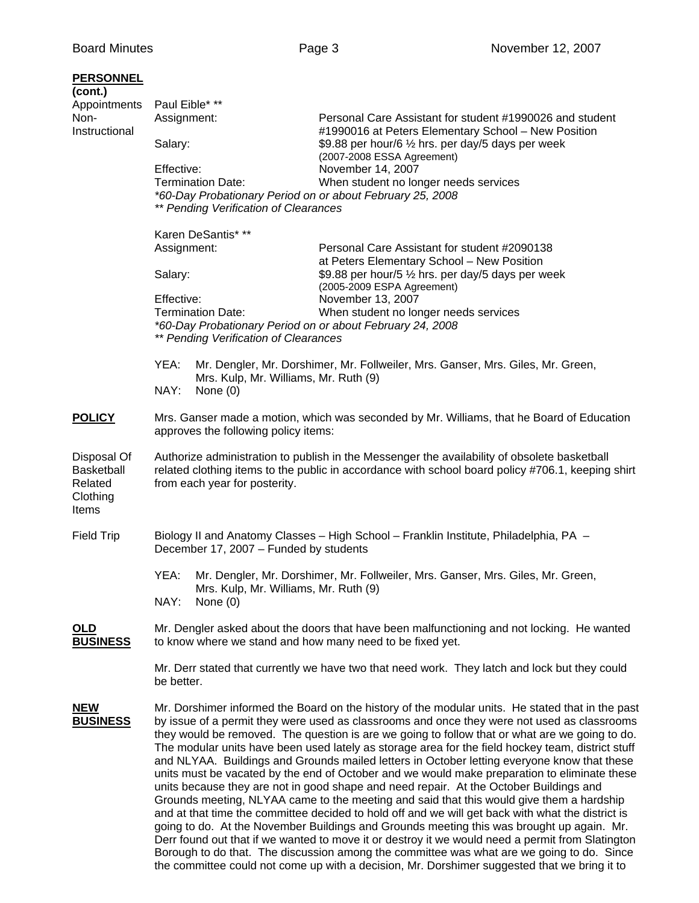| <b>PERSONNEL</b><br>(cont.)<br>Appointments<br>Non-<br>Instructional | Paul Eible* **<br>Assignment:<br>Salary:<br>Effective:<br><b>Termination Date:</b><br>** Pending Verification of Clearances                                                                                                                                                                                                                                                                                                                                                                                                                                                                                                                                                                                                                                                                                                                                                                                                                                                                                                                                                                       | Personal Care Assistant for student #1990026 and student<br>#1990016 at Peters Elementary School - New Position<br>\$9.88 per hour/6 1/2 hrs. per day/5 days per week<br>(2007-2008 ESSA Agreement)<br>November 14, 2007<br>When student no longer needs services<br>*60-Day Probationary Period on or about February 25, 2008 |
|----------------------------------------------------------------------|---------------------------------------------------------------------------------------------------------------------------------------------------------------------------------------------------------------------------------------------------------------------------------------------------------------------------------------------------------------------------------------------------------------------------------------------------------------------------------------------------------------------------------------------------------------------------------------------------------------------------------------------------------------------------------------------------------------------------------------------------------------------------------------------------------------------------------------------------------------------------------------------------------------------------------------------------------------------------------------------------------------------------------------------------------------------------------------------------|--------------------------------------------------------------------------------------------------------------------------------------------------------------------------------------------------------------------------------------------------------------------------------------------------------------------------------|
|                                                                      | Karen DeSantis* **<br>Assignment:<br>Salary:<br>Effective:<br><b>Termination Date:</b><br>** Pending Verification of Clearances                                                                                                                                                                                                                                                                                                                                                                                                                                                                                                                                                                                                                                                                                                                                                                                                                                                                                                                                                                   | Personal Care Assistant for student #2090138<br>at Peters Elementary School - New Position<br>\$9.88 per hour/5 1/2 hrs. per day/5 days per week<br>(2005-2009 ESPA Agreement)<br>November 13, 2007<br>When student no longer needs services<br>*60-Day Probationary Period on or about February 24, 2008                      |
|                                                                      | YEA:<br>Mrs. Kulp, Mr. Williams, Mr. Ruth (9)<br>NAY:<br>None $(0)$                                                                                                                                                                                                                                                                                                                                                                                                                                                                                                                                                                                                                                                                                                                                                                                                                                                                                                                                                                                                                               | Mr. Dengler, Mr. Dorshimer, Mr. Follweiler, Mrs. Ganser, Mrs. Giles, Mr. Green,                                                                                                                                                                                                                                                |
| <b>POLICY</b>                                                        | Mrs. Ganser made a motion, which was seconded by Mr. Williams, that he Board of Education<br>approves the following policy items:                                                                                                                                                                                                                                                                                                                                                                                                                                                                                                                                                                                                                                                                                                                                                                                                                                                                                                                                                                 |                                                                                                                                                                                                                                                                                                                                |
| Disposal Of<br><b>Basketball</b><br>Related<br>Clothing<br>Items     | Authorize administration to publish in the Messenger the availability of obsolete basketball<br>related clothing items to the public in accordance with school board policy #706.1, keeping shirt<br>from each year for posterity.                                                                                                                                                                                                                                                                                                                                                                                                                                                                                                                                                                                                                                                                                                                                                                                                                                                                |                                                                                                                                                                                                                                                                                                                                |
| <b>Field Trip</b>                                                    | December 17, 2007 - Funded by students                                                                                                                                                                                                                                                                                                                                                                                                                                                                                                                                                                                                                                                                                                                                                                                                                                                                                                                                                                                                                                                            | Biology II and Anatomy Classes - High School - Franklin Institute, Philadelphia, PA -                                                                                                                                                                                                                                          |
|                                                                      | YEA:<br>Mrs. Kulp, Mr. Williams, Mr. Ruth (9)<br>NAY:<br>None $(0)$                                                                                                                                                                                                                                                                                                                                                                                                                                                                                                                                                                                                                                                                                                                                                                                                                                                                                                                                                                                                                               | Mr. Dengler, Mr. Dorshimer, Mr. Follweiler, Mrs. Ganser, Mrs. Giles, Mr. Green,                                                                                                                                                                                                                                                |
| OLD<br><b>BUSINESS</b>                                               | Mr. Dengler asked about the doors that have been malfunctioning and not locking. He wanted<br>to know where we stand and how many need to be fixed yet.                                                                                                                                                                                                                                                                                                                                                                                                                                                                                                                                                                                                                                                                                                                                                                                                                                                                                                                                           |                                                                                                                                                                                                                                                                                                                                |
|                                                                      | Mr. Derr stated that currently we have two that need work. They latch and lock but they could<br>be better.                                                                                                                                                                                                                                                                                                                                                                                                                                                                                                                                                                                                                                                                                                                                                                                                                                                                                                                                                                                       |                                                                                                                                                                                                                                                                                                                                |
| <b>NEW</b><br><b>BUSINESS</b>                                        | Mr. Dorshimer informed the Board on the history of the modular units. He stated that in the past<br>by issue of a permit they were used as classrooms and once they were not used as classrooms<br>they would be removed. The question is are we going to follow that or what are we going to do.<br>The modular units have been used lately as storage area for the field hockey team, district stuff<br>and NLYAA. Buildings and Grounds mailed letters in October letting everyone know that these<br>units must be vacated by the end of October and we would make preparation to eliminate these<br>units because they are not in good shape and need repair. At the October Buildings and<br>Grounds meeting, NLYAA came to the meeting and said that this would give them a hardship<br>and at that time the committee decided to hold off and we will get back with what the district is<br>going to do. At the November Buildings and Grounds meeting this was brought up again. Mr.<br>Derr found out that if we wanted to move it or destroy it we would need a permit from Slatington |                                                                                                                                                                                                                                                                                                                                |

 Borough to do that. The discussion among the committee was what are we going to do. Since the committee could not come up with a decision, Mr. Dorshimer suggested that we bring it to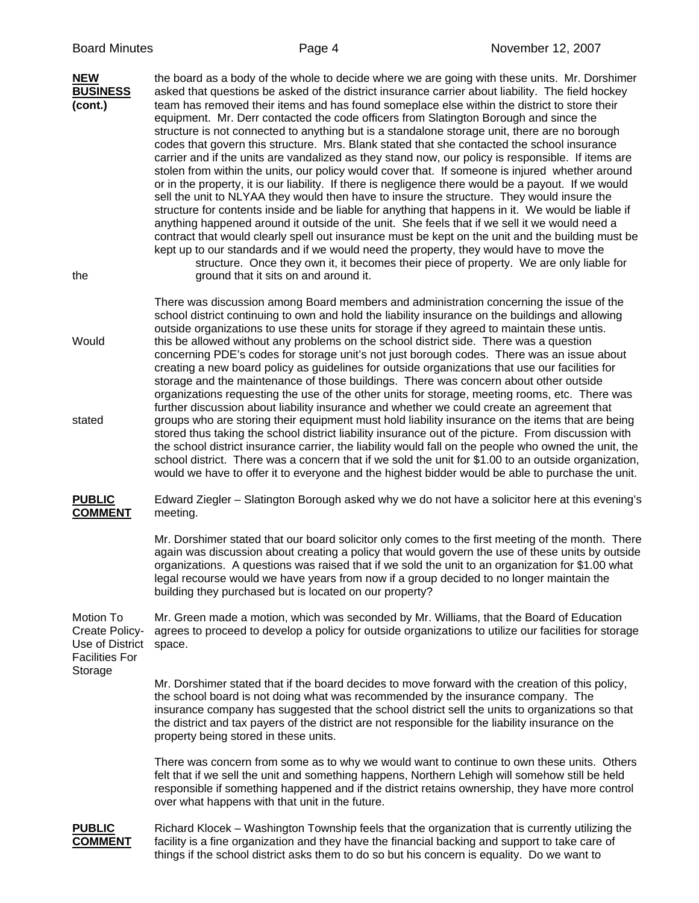| <b>NEW</b><br><b>BUSINESS</b><br>(cont.)<br>the                         | the board as a body of the whole to decide where we are going with these units. Mr. Dorshimer<br>asked that questions be asked of the district insurance carrier about liability. The field hockey<br>team has removed their items and has found someplace else within the district to store their<br>equipment. Mr. Derr contacted the code officers from Slatington Borough and since the<br>structure is not connected to anything but is a standalone storage unit, there are no borough<br>codes that govern this structure. Mrs. Blank stated that she contacted the school insurance<br>carrier and if the units are vandalized as they stand now, our policy is responsible. If items are<br>stolen from within the units, our policy would cover that. If someone is injured whether around<br>or in the property, it is our liability. If there is negligence there would be a payout. If we would<br>sell the unit to NLYAA they would then have to insure the structure. They would insure the<br>structure for contents inside and be liable for anything that happens in it. We would be liable if<br>anything happened around it outside of the unit. She feels that if we sell it we would need a<br>contract that would clearly spell out insurance must be kept on the unit and the building must be<br>kept up to our standards and if we would need the property, they would have to move the<br>structure. Once they own it, it becomes their piece of property. We are only liable for<br>ground that it sits on and around it. |
|-------------------------------------------------------------------------|-------------------------------------------------------------------------------------------------------------------------------------------------------------------------------------------------------------------------------------------------------------------------------------------------------------------------------------------------------------------------------------------------------------------------------------------------------------------------------------------------------------------------------------------------------------------------------------------------------------------------------------------------------------------------------------------------------------------------------------------------------------------------------------------------------------------------------------------------------------------------------------------------------------------------------------------------------------------------------------------------------------------------------------------------------------------------------------------------------------------------------------------------------------------------------------------------------------------------------------------------------------------------------------------------------------------------------------------------------------------------------------------------------------------------------------------------------------------------------------------------------------------------------------------------------|
| Would<br>stated                                                         | There was discussion among Board members and administration concerning the issue of the<br>school district continuing to own and hold the liability insurance on the buildings and allowing<br>outside organizations to use these units for storage if they agreed to maintain these untis.<br>this be allowed without any problems on the school district side. There was a question<br>concerning PDE's codes for storage unit's not just borough codes. There was an issue about<br>creating a new board policy as guidelines for outside organizations that use our facilities for<br>storage and the maintenance of those buildings. There was concern about other outside<br>organizations requesting the use of the other units for storage, meeting rooms, etc. There was<br>further discussion about liability insurance and whether we could create an agreement that<br>groups who are storing their equipment must hold liability insurance on the items that are being<br>stored thus taking the school district liability insurance out of the picture. From discussion with<br>the school district insurance carrier, the liability would fall on the people who owned the unit, the<br>school district. There was a concern that if we sold the unit for \$1.00 to an outside organization,                                                                                                                                                                                                                                           |
| <b>PUBLIC</b><br><b>COMMENT</b>                                         | would we have to offer it to everyone and the highest bidder would be able to purchase the unit.<br>Edward Ziegler - Slatington Borough asked why we do not have a solicitor here at this evening's<br>meeting.                                                                                                                                                                                                                                                                                                                                                                                                                                                                                                                                                                                                                                                                                                                                                                                                                                                                                                                                                                                                                                                                                                                                                                                                                                                                                                                                       |
|                                                                         | Mr. Dorshimer stated that our board solicitor only comes to the first meeting of the month. There<br>again was discussion about creating a policy that would govern the use of these units by outside<br>organizations. A questions was raised that if we sold the unit to an organization for \$1.00 what<br>legal recourse would we have years from now if a group decided to no longer maintain the<br>building they purchased but is located on our property?                                                                                                                                                                                                                                                                                                                                                                                                                                                                                                                                                                                                                                                                                                                                                                                                                                                                                                                                                                                                                                                                                     |
| Motion To<br>Create Policy-<br>Use of District<br><b>Facilities For</b> | Mr. Green made a motion, which was seconded by Mr. Williams, that the Board of Education<br>agrees to proceed to develop a policy for outside organizations to utilize our facilities for storage<br>space.                                                                                                                                                                                                                                                                                                                                                                                                                                                                                                                                                                                                                                                                                                                                                                                                                                                                                                                                                                                                                                                                                                                                                                                                                                                                                                                                           |
| Storage                                                                 | Mr. Dorshimer stated that if the board decides to move forward with the creation of this policy,<br>the school board is not doing what was recommended by the insurance company. The<br>insurance company has suggested that the school district sell the units to organizations so that<br>the district and tax payers of the district are not responsible for the liability insurance on the<br>property being stored in these units.                                                                                                                                                                                                                                                                                                                                                                                                                                                                                                                                                                                                                                                                                                                                                                                                                                                                                                                                                                                                                                                                                                               |
|                                                                         | There was concern from some as to why we would want to continue to own these units. Others<br>felt that if we sell the unit and something happens, Northern Lehigh will somehow still be held<br>responsible if something happened and if the district retains ownership, they have more control<br>over what happens with that unit in the future.                                                                                                                                                                                                                                                                                                                                                                                                                                                                                                                                                                                                                                                                                                                                                                                                                                                                                                                                                                                                                                                                                                                                                                                                   |
| <b>PUBLIC</b><br><b>COMMENT</b>                                         | Richard Klocek – Washington Township feels that the organization that is currently utilizing the<br>facility is a fine organization and they have the financial backing and support to take care of                                                                                                                                                                                                                                                                                                                                                                                                                                                                                                                                                                                                                                                                                                                                                                                                                                                                                                                                                                                                                                                                                                                                                                                                                                                                                                                                                   |

things if the school district asks them to do so but his concern is equality. Do we want to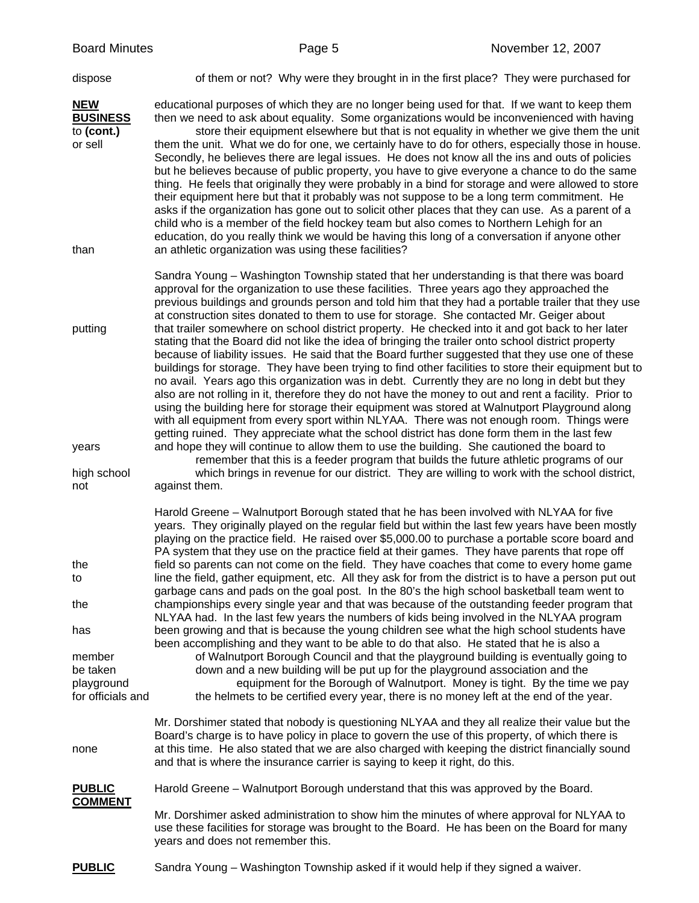dispose of them or not? Why were they brought in in the first place? They were purchased for

**NEW** educational purposes of which they are no longer being used for that. If we want to keep them **BUSINESS** then we need to ask about equality. Some organizations would be inconvenienced with having to **(cont.)** store their equipment elsewhere but that is not equality in whether we give them the unit or sell them the unit. What we do for one, we certainly have to do for others, especially those in house.

 Secondly, he believes there are legal issues. He does not know all the ins and outs of policies but he believes because of public property, you have to give everyone a chance to do the same thing. He feels that originally they were probably in a bind for storage and were allowed to store their equipment here but that it probably was not suppose to be a long term commitment. He asks if the organization has gone out to solicit other places that they can use. As a parent of a child who is a member of the field hockey team but also comes to Northern Lehigh for an education, do you really think we would be having this long of a conversation if anyone other than an athletic organization was using these facilities?

 Sandra Young – Washington Township stated that her understanding is that there was board approval for the organization to use these facilities. Three years ago they approached the previous buildings and grounds person and told him that they had a portable trailer that they use at construction sites donated to them to use for storage. She contacted Mr. Geiger about putting that trailer somewhere on school district property. He checked into it and got back to her later stating that the Board did not like the idea of bringing the trailer onto school district property because of liability issues. He said that the Board further suggested that they use one of these buildings for storage. They have been trying to find other facilities to store their equipment but to no avail. Years ago this organization was in debt. Currently they are no long in debt but they also are not rolling in it, therefore they do not have the money to out and rent a facility. Prior to using the building here for storage their equipment was stored at Walnutport Playground along with all equipment from every sport within NLYAA. There was not enough room. Things were getting ruined. They appreciate what the school district has done form them in the last few years and hope they will continue to allow them to use the building. She cautioned the board to remember that this is a feeder program that builds the future athletic programs of our high school which brings in revenue for our district. They are willing to work with the school district,

not against them.

 Harold Greene – Walnutport Borough stated that he has been involved with NLYAA for five years. They originally played on the regular field but within the last few years have been mostly playing on the practice field. He raised over \$5,000.00 to purchase a portable score board and PA system that they use on the practice field at their games. They have parents that rope off the field so parents can not come on the field. They have coaches that come to every home game to line the field, gather equipment, etc. All they ask for from the district is to have a person put out garbage cans and pads on the goal post. In the 80's the high school basketball team went to the championships every single year and that was because of the outstanding feeder program that NLYAA had. In the last few years the numbers of kids being involved in the NLYAA program has been growing and that is because the young children see what the high school students have been accomplishing and they want to be able to do that also. He stated that he is also a member of Walnutport Borough Council and that the playground building is eventually going to be taken down and a new building will be put up for the playground association and the playground equipment for the Borough of Walnutport. Money is tight. By the time we pay for officials and the helmets to be certified every year, there is no money left at the end of the year.

 Mr. Dorshimer stated that nobody is questioning NLYAA and they all realize their value but the Board's charge is to have policy in place to govern the use of this property, of which there is none at this time. He also stated that we are also charged with keeping the district financially sound and that is where the insurance carrier is saying to keep it right, do this.

**PUBLIC** Harold Greene – Walnutport Borough understand that this was approved by the Board. **COMMENT**

> Mr. Dorshimer asked administration to show him the minutes of where approval for NLYAA to use these facilities for storage was brought to the Board. He has been on the Board for many years and does not remember this.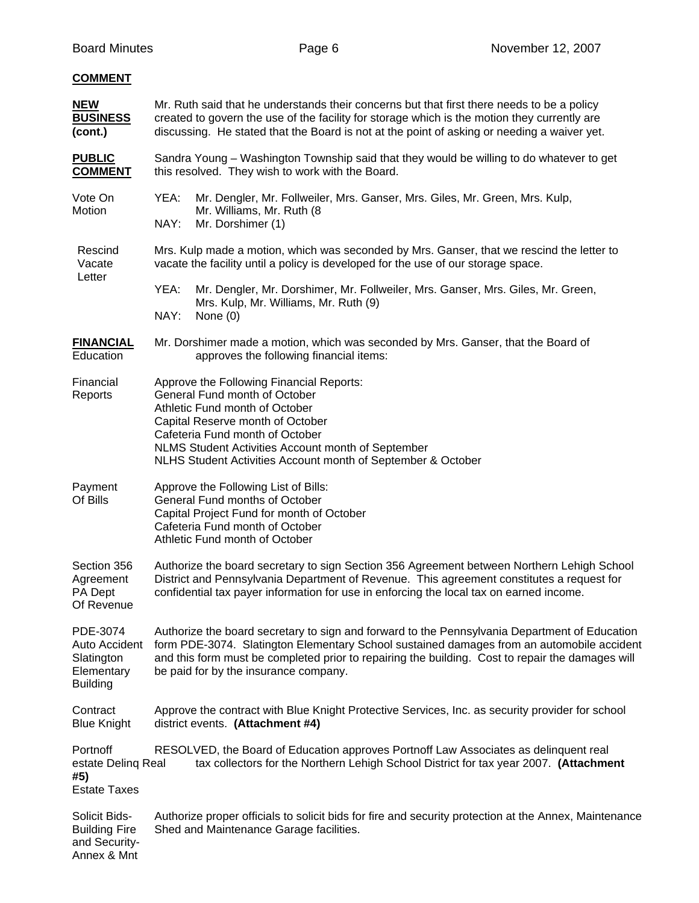| <b>COMMENT</b>                                                           |                                                                                                                                                                                                                                                                                                                                         |  |
|--------------------------------------------------------------------------|-----------------------------------------------------------------------------------------------------------------------------------------------------------------------------------------------------------------------------------------------------------------------------------------------------------------------------------------|--|
| <b>NEW</b><br><b>BUSINESS</b><br>(cont.)                                 | Mr. Ruth said that he understands their concerns but that first there needs to be a policy<br>created to govern the use of the facility for storage which is the motion they currently are<br>discussing. He stated that the Board is not at the point of asking or needing a waiver yet.                                               |  |
| <b>PUBLIC</b><br><b>COMMENT</b>                                          | Sandra Young – Washington Township said that they would be willing to do whatever to get<br>this resolved. They wish to work with the Board.                                                                                                                                                                                            |  |
| Vote On<br>Motion                                                        | YEA:<br>Mr. Dengler, Mr. Follweiler, Mrs. Ganser, Mrs. Giles, Mr. Green, Mrs. Kulp,<br>Mr. Williams, Mr. Ruth (8)<br>NAY:<br>Mr. Dorshimer (1)                                                                                                                                                                                          |  |
| Rescind<br>Vacate<br>Letter                                              | Mrs. Kulp made a motion, which was seconded by Mrs. Ganser, that we rescind the letter to<br>vacate the facility until a policy is developed for the use of our storage space.                                                                                                                                                          |  |
|                                                                          | YEA:<br>Mr. Dengler, Mr. Dorshimer, Mr. Follweiler, Mrs. Ganser, Mrs. Giles, Mr. Green,<br>Mrs. Kulp, Mr. Williams, Mr. Ruth (9)<br>NAY:<br>None $(0)$                                                                                                                                                                                  |  |
| <b>FINANCIAL</b><br>Education                                            | Mr. Dorshimer made a motion, which was seconded by Mrs. Ganser, that the Board of<br>approves the following financial items:                                                                                                                                                                                                            |  |
| Financial<br>Reports                                                     | Approve the Following Financial Reports:<br>General Fund month of October<br>Athletic Fund month of October<br>Capital Reserve month of October<br>Cafeteria Fund month of October<br>NLMS Student Activities Account month of September<br>NLHS Student Activities Account month of September & October                                |  |
| Payment<br>Of Bills                                                      | Approve the Following List of Bills:<br>General Fund months of October<br>Capital Project Fund for month of October<br>Cafeteria Fund month of October<br>Athletic Fund month of October                                                                                                                                                |  |
| Section 356<br>Agreement<br>PA Dept<br>Of Revenue                        | Authorize the board secretary to sign Section 356 Agreement between Northern Lehigh School<br>District and Pennsylvania Department of Revenue. This agreement constitutes a request for<br>confidential tax payer information for use in enforcing the local tax on earned income.                                                      |  |
| PDE-3074<br>Auto Accident<br>Slatington<br>Elementary<br><b>Building</b> | Authorize the board secretary to sign and forward to the Pennsylvania Department of Education<br>form PDE-3074. Slatington Elementary School sustained damages from an automobile accident<br>and this form must be completed prior to repairing the building. Cost to repair the damages will<br>be paid for by the insurance company. |  |
| Contract<br><b>Blue Knight</b>                                           | Approve the contract with Blue Knight Protective Services, Inc. as security provider for school<br>district events. (Attachment #4)                                                                                                                                                                                                     |  |
| Portnoff<br>estate Deling Real<br>#5)<br><b>Estate Taxes</b>             | RESOLVED, the Board of Education approves Portnoff Law Associates as delinquent real<br>tax collectors for the Northern Lehigh School District for tax year 2007. (Attachment                                                                                                                                                           |  |
| Solicit Bids-<br><b>Building Fire</b><br>and Security-<br>Annex & Mnt    | Authorize proper officials to solicit bids for fire and security protection at the Annex, Maintenance<br>Shed and Maintenance Garage facilities.                                                                                                                                                                                        |  |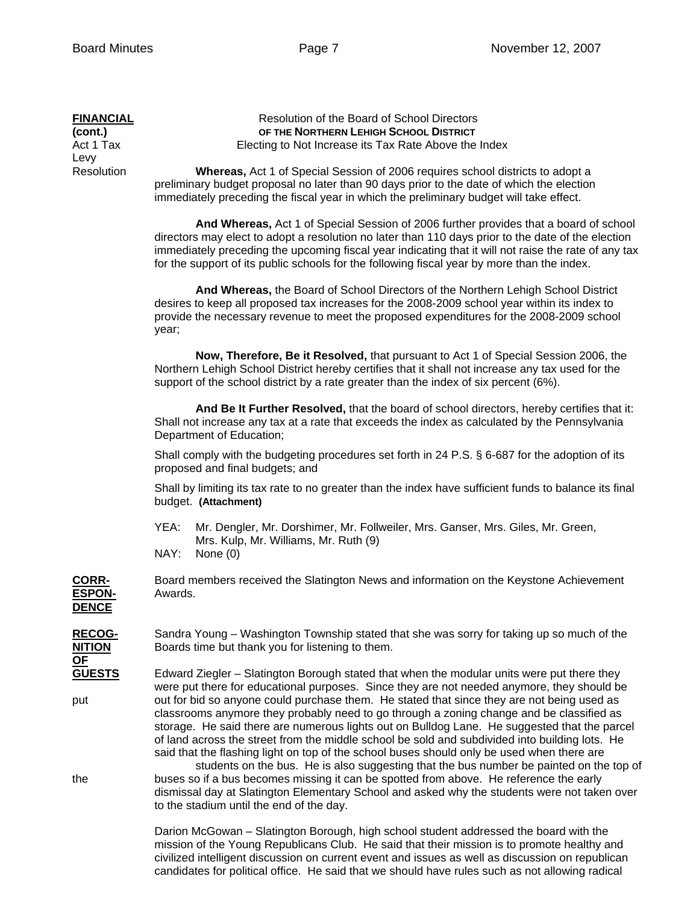| <b>FINANCIAL</b><br>(cont.)<br>Act 1 Tax<br>Levy<br>Resolution | Resolution of the Board of School Directors<br>OF THE NORTHERN LEHIGH SCHOOL DISTRICT<br>Electing to Not Increase its Tax Rate Above the Index                                                                                                                                                                                                                                                                                                                                                                                                                                                                                                                                     |  |
|----------------------------------------------------------------|------------------------------------------------------------------------------------------------------------------------------------------------------------------------------------------------------------------------------------------------------------------------------------------------------------------------------------------------------------------------------------------------------------------------------------------------------------------------------------------------------------------------------------------------------------------------------------------------------------------------------------------------------------------------------------|--|
|                                                                | Whereas, Act 1 of Special Session of 2006 requires school districts to adopt a<br>preliminary budget proposal no later than 90 days prior to the date of which the election<br>immediately preceding the fiscal year in which the preliminary budget will take effect.                                                                                                                                                                                                                                                                                                                                                                                                             |  |
|                                                                | And Whereas, Act 1 of Special Session of 2006 further provides that a board of school<br>directors may elect to adopt a resolution no later than 110 days prior to the date of the election<br>immediately preceding the upcoming fiscal year indicating that it will not raise the rate of any tax<br>for the support of its public schools for the following fiscal year by more than the index.                                                                                                                                                                                                                                                                                 |  |
|                                                                | And Whereas, the Board of School Directors of the Northern Lehigh School District<br>desires to keep all proposed tax increases for the 2008-2009 school year within its index to<br>provide the necessary revenue to meet the proposed expenditures for the 2008-2009 school<br>year;                                                                                                                                                                                                                                                                                                                                                                                             |  |
|                                                                | Now, Therefore, Be it Resolved, that pursuant to Act 1 of Special Session 2006, the<br>Northern Lehigh School District hereby certifies that it shall not increase any tax used for the<br>support of the school district by a rate greater than the index of six percent (6%).                                                                                                                                                                                                                                                                                                                                                                                                    |  |
|                                                                | And Be It Further Resolved, that the board of school directors, hereby certifies that it:<br>Shall not increase any tax at a rate that exceeds the index as calculated by the Pennsylvania<br>Department of Education;                                                                                                                                                                                                                                                                                                                                                                                                                                                             |  |
|                                                                | Shall comply with the budgeting procedures set forth in 24 P.S. § 6-687 for the adoption of its<br>proposed and final budgets; and                                                                                                                                                                                                                                                                                                                                                                                                                                                                                                                                                 |  |
|                                                                | Shall by limiting its tax rate to no greater than the index have sufficient funds to balance its final<br>budget. (Attachment)                                                                                                                                                                                                                                                                                                                                                                                                                                                                                                                                                     |  |
|                                                                | YEA:<br>Mr. Dengler, Mr. Dorshimer, Mr. Follweiler, Mrs. Ganser, Mrs. Giles, Mr. Green,<br>Mrs. Kulp, Mr. Williams, Mr. Ruth (9)<br>NAY:<br>None $(0)$                                                                                                                                                                                                                                                                                                                                                                                                                                                                                                                             |  |
| CORR-<br><b>ESPON-</b><br><b>DENCE</b>                         | Board members received the Slatington News and information on the Keystone Achievement<br>Awards.                                                                                                                                                                                                                                                                                                                                                                                                                                                                                                                                                                                  |  |
| RECOG-<br><b>NITION</b>                                        | Sandra Young – Washington Township stated that she was sorry for taking up so much of the<br>Boards time but thank you for listening to them.                                                                                                                                                                                                                                                                                                                                                                                                                                                                                                                                      |  |
| <u>OF</u><br><b>GUESTS</b><br>put                              | Edward Ziegler - Slatington Borough stated that when the modular units were put there they<br>were put there for educational purposes. Since they are not needed anymore, they should be<br>out for bid so anyone could purchase them. He stated that since they are not being used as<br>classrooms anymore they probably need to go through a zoning change and be classified as<br>storage. He said there are numerous lights out on Bulldog Lane. He suggested that the parcel<br>of land across the street from the middle school be sold and subdivided into building lots. He<br>said that the flashing light on top of the school buses should only be used when there are |  |
| the                                                            | students on the bus. He is also suggesting that the bus number be painted on the top of<br>buses so if a bus becomes missing it can be spotted from above. He reference the early<br>dismissal day at Slatington Elementary School and asked why the students were not taken over<br>to the stadium until the end of the day.                                                                                                                                                                                                                                                                                                                                                      |  |
|                                                                | Darion McCowan - Slatington Borough, bigh school student addressed the board with the                                                                                                                                                                                                                                                                                                                                                                                                                                                                                                                                                                                              |  |

 Darion McGowan – Slatington Borough, high school student addressed the board with the mission of the Young Republicans Club. He said that their mission is to promote healthy and civilized intelligent discussion on current event and issues as well as discussion on republican candidates for political office. He said that we should have rules such as not allowing radical